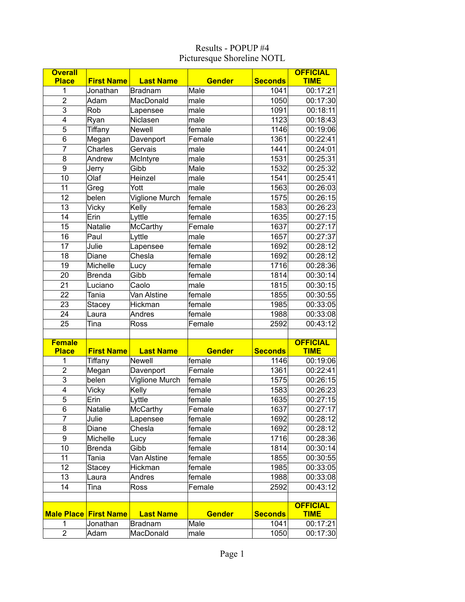| <b>Overall</b>          |                              |                  |               |                | <b>OFFICIAL</b> |
|-------------------------|------------------------------|------------------|---------------|----------------|-----------------|
| <b>Place</b>            | <b>First Name</b>            | <b>Last Name</b> | <b>Gender</b> | <b>Seconds</b> | <b>TIME</b>     |
| 1                       | Jonathan                     | <b>Bradnam</b>   | Male          | 1041           | 00:17:21        |
| $\overline{\mathbf{c}}$ | Adam                         | MacDonald        | male          | 1050           | 00:17:30        |
| 3                       | Rob                          | Lapensee         | male          | 1091           | 00:18:11        |
| 4                       | Ryan                         | Niclasen         | male          | 1123           | 00:18:43        |
| 5                       | Tiffany                      | Newell           | female        | 1146           | 00:19:06        |
| 6                       | Megan                        | Davenport        | Female        | 1361           | 00:22:41        |
| $\overline{7}$          | Charles                      | Gervais          | male          | 1441           | 00:24:01        |
| 8                       | Andrew                       | McIntyre         | male          | 1531           | 00:25:31        |
| 9                       | Jerry                        | Gibb             | Male          | 1532           | 00:25:32        |
| 10                      | Olaf                         | Heinzel          | male          | 1541           | 00:25:41        |
| 11                      | Greg                         | Yott             | male          | 1563           | 00:26:03        |
| 12                      | belen                        | Viglione Murch   | female        | 1575           | 00:26:15        |
| 13                      | Vicky                        | Kelly            | female        | 1583           | 00:26:23        |
| 14                      | Erin                         | Lyttle           | female        | 1635           | 00:27:15        |
| 15                      | <b>Natalie</b>               | McCarthy         | Female        | 1637           | 00:27:17        |
| 16                      | Paul                         | Lyttle           | male          | 1657           | 00:27:37        |
| 17                      | Julie                        | Lapensee         | female        | 1692           | 00:28:12        |
| 18                      | Diane                        | Chesla           | female        | 1692           | 00:28:12        |
| 19                      | Michelle                     | Lucy             | female        | 1716           | 00:28:36        |
| 20                      | <b>Brenda</b>                | Gibb             | female        | 1814           | 00:30:14        |
| 21                      | Luciano                      | Caolo            | male          | 1815           | 00:30:15        |
| 22                      | Tania                        | Van Alstine      | female        | 1855           | 00:30:55        |
| 23                      | <b>Stacey</b>                | Hickman          | female        | 1985           | 00:33:05        |
| 24                      | Laura                        | Andres           | female        | 1988           | 00:33:08        |
| 25                      | Tina                         | Ross             | Female        | 2592           | 00:43:12        |
|                         |                              |                  |               |                |                 |
| <b>Female</b>           |                              |                  |               |                | <b>OFFICIAL</b> |
| <b>Place</b>            | <b>First Name</b>            | <b>Last Name</b> | <b>Gender</b> | <b>Seconds</b> | <b>TIME</b>     |
| 1                       | Tiffany                      | <b>Newell</b>    | female        | 1146           | 00:19:06        |
| $\overline{2}$          | Megan                        | Davenport        | Female        | 1361           | 00:22:41        |
| 3                       | belen                        | Viglione Murch   | female        | 1575           | 00:26:15        |
| 4                       | <b>Vicky</b>                 | Kelly            | female        | 1583           | 00:26:23        |
| $\overline{5}$          | Erin                         | Lyttle           | female        | 1635           | 00:27:15        |
| $\overline{6}$          | Natalie                      | <b>McCarthy</b>  | Female        | 1637           | 00:27:17        |
| 7                       | Julie                        | Lapensee         | female        | 1692           | 00:28:12        |
| 8                       | Diane                        | Chesla           | female        | 1692           | 00:28:12        |
| 9                       | Michelle                     | Lucy             | female        | 1716           | 00:28:36        |
| 10                      | <b>Brenda</b>                | Gibb             | female        | 1814           | 00:30:14        |
| 11                      | Tania                        | Van Alstine      | female        | 1855           | 00:30:55        |
| 12                      | Stacey                       | Hickman          | female        | 1985           | 00:33:05        |
| 13                      | Laura                        | Andres           | female        | 1988           | 00:33:08        |
| 14                      | Tina                         | Ross             | Female        | 2592           | 00:43:12        |
|                         |                              |                  |               |                |                 |
|                         |                              |                  |               |                | <b>OFFICIAL</b> |
|                         | <b>Male Place First Name</b> | <b>Last Name</b> | <b>Gender</b> | <b>Seconds</b> | <b>TIME</b>     |
| 1                       | Jonathan                     | Bradnam          | Male          | 1041           | 00:17:21        |
| $\overline{2}$          | Adam                         | MacDonald        | male          | 1050           | 00:17:30        |

## Results - POPUP #4 Picturesque Shoreline NOTL